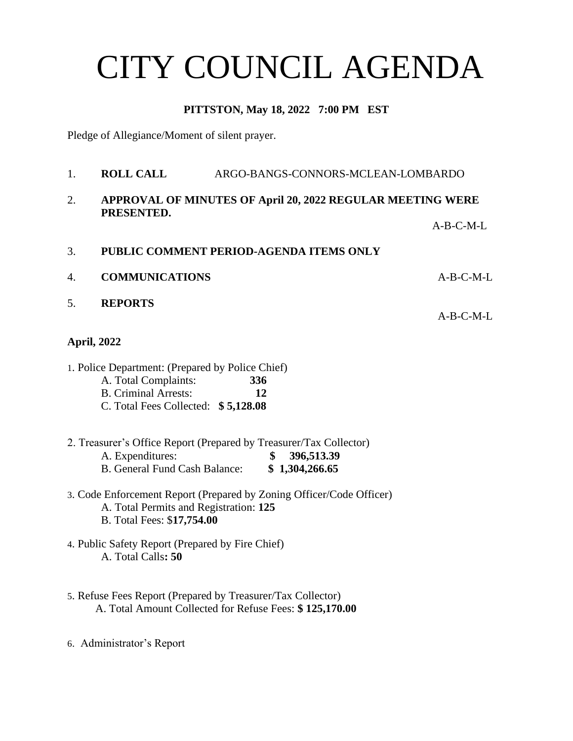# CITY COUNCIL AGENDA

## **PITTSTON, May 18, 2022 7:00 PM EST**

Pledge of Allegiance/Moment of silent prayer.

- 1. **ROLL CALL** ARGO-BANGS-CONNORS-MCLEAN-LOMBARDO 2. **APPROVAL OF MINUTES OF April 20, 2022 REGULAR MEETING WERE PRESENTED.** A-B-C-M-L 3. **PUBLIC COMMENT PERIOD-AGENDA ITEMS ONLY** 4. **COMMUNICATIONS** A-B-C-M-L 5. **REPORTS** A-B-C-M-L **April, 2022** 1. Police Department: (Prepared by Police Chief) A. Total Complaints: **336** B. Criminal Arrests: **12** C. Total Fees Collected: **\$ 5,128.08** 2. Treasurer's Office Report (Prepared by Treasurer/Tax Collector) A. Expenditures: **\$ 396,513.39** B. General Fund Cash Balance: **\$ 1,304,266.65** 3. Code Enforcement Report (Prepared by Zoning Officer/Code Officer) A. Total Permits and Registration: **125** B. Total Fees: \$**17,754.00** 4. Public Safety Report (Prepared by Fire Chief) A. Total Calls**: 50** 5. Refuse Fees Report (Prepared by Treasurer/Tax Collector) A. Total Amount Collected for Refuse Fees: **\$ 125,170.00**
- 6. Administrator's Report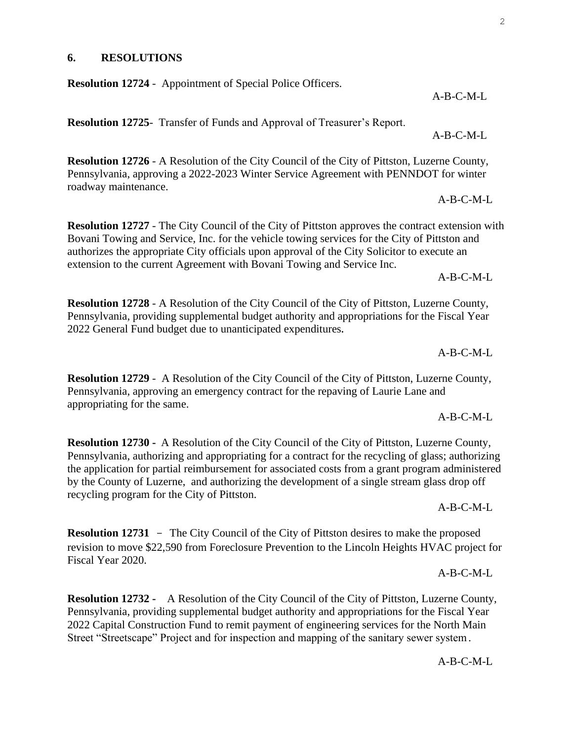**6. RESOLUTIONS**

**Resolution 12724** - Appointment of Special Police Officers.

**Resolution 12725**- Transfer of Funds and Approval of Treasurer's Report.

**Resolution 12726** - A Resolution of the City Council of the City of Pittston, Luzerne County, Pennsylvania, approving a 2022-2023 Winter Service Agreement with PENNDOT for winter roadway maintenance.

**Resolution 12727** - The City Council of the City of Pittston approves the contract extension with Bovani Towing and Service, Inc. for the vehicle towing services for the City of Pittston and authorizes the appropriate City officials upon approval of the City Solicitor to execute an extension to the current Agreement with Bovani Towing and Service Inc.

A-B-C-M-L

**Resolution 12728** - A Resolution of the City Council of the City of Pittston, Luzerne County, Pennsylvania, providing supplemental budget authority and appropriations for the Fiscal Year 2022 General Fund budget due to unanticipated expenditures**.** 

A-B-C-M-L

A-B-C-M-L

**Resolution 12729** - A Resolution of the City Council of the City of Pittston, Luzerne County, Pennsylvania, approving an emergency contract for the repaving of Laurie Lane and appropriating for the same.

**Resolution 12730 -** A Resolution of the City Council of the City of Pittston, Luzerne County, Pennsylvania, authorizing and appropriating for a contract for the recycling of glass; authorizing the application for partial reimbursement for associated costs from a grant program administered by the County of Luzerne, and authorizing the development of a single stream glass drop off recycling program for the City of Pittston.

 $A-B-C-M-I$ .

 $A-B-C-M-I$ .

**Resolution 12731** - The City Council of the City of Pittston desires to make the proposed revision to move \$22,590 from Foreclosure Prevention to the Lincoln Heights HVAC project for Fiscal Year 2020.

**Resolution 12732 -** A Resolution of the City Council of the City of Pittston, Luzerne County, Pennsylvania, providing supplemental budget authority and appropriations for the Fiscal Year 2022 Capital Construction Fund to remit payment of engineering services for the North Main Street "Streetscape" Project and for inspection and mapping of the sanitary sewer system**.**

### A-B-C-M-L

A-B-C-M-L

A-B-C-M-L